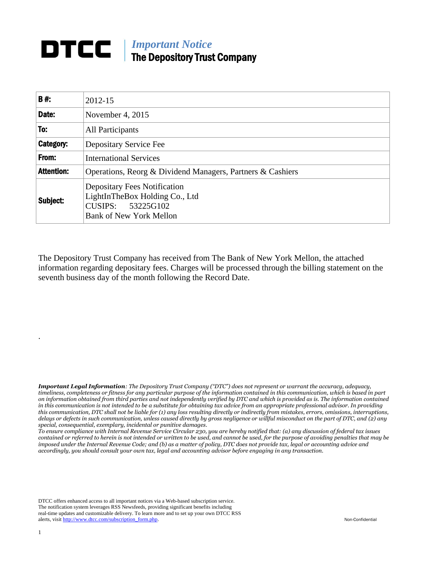## *Important Notice* The Depository Trust Company

| B#:               | 2012-15                                                                                                                         |
|-------------------|---------------------------------------------------------------------------------------------------------------------------------|
| Date:             | November 4, 2015                                                                                                                |
| To:               | All Participants                                                                                                                |
| Category:         | Depositary Service Fee                                                                                                          |
| From:             | <b>International Services</b>                                                                                                   |
| <b>Attention:</b> | Operations, Reorg & Dividend Managers, Partners & Cashiers                                                                      |
| Subject:          | <b>Depositary Fees Notification</b><br>LightInTheBox Holding Co., Ltd<br>53225G102<br>CUSIPS:<br><b>Bank of New York Mellon</b> |

The Depository Trust Company has received from The Bank of New York Mellon, the attached information regarding depositary fees. Charges will be processed through the billing statement on the seventh business day of the month following the Record Date.

*Important Legal Information: The Depository Trust Company ("DTC") does not represent or warrant the accuracy, adequacy, timeliness, completeness or fitness for any particular purpose of the information contained in this communication, which is based in part on information obtained from third parties and not independently verified by DTC and which is provided as is. The information contained in this communication is not intended to be a substitute for obtaining tax advice from an appropriate professional advisor. In providing this communication, DTC shall not be liable for (1) any loss resulting directly or indirectly from mistakes, errors, omissions, interruptions, delays or defects in such communication, unless caused directly by gross negligence or willful misconduct on the part of DTC, and (2) any special, consequential, exemplary, incidental or punitive damages.*

*To ensure compliance with Internal Revenue Service Circular 230, you are hereby notified that: (a) any discussion of federal tax issues contained or referred to herein is not intended or written to be used, and cannot be used, for the purpose of avoiding penalties that may be imposed under the Internal Revenue Code; and (b) as a matter of policy, DTC does not provide tax, legal or accounting advice and accordingly, you should consult your own tax, legal and accounting advisor before engaging in any transaction.*

DTCC offers enhanced access to all important notices via a Web-based subscription service. The notification system leverages RSS Newsfeeds, providing significant benefits including real-time updates and customizable delivery. To learn more and to set up your own DTCC RSS alerts, visit [http://www.dtcc.com/subscription\\_form.php.](http://www.dtcc.com/subscription_form.php) Non-Confidential

.